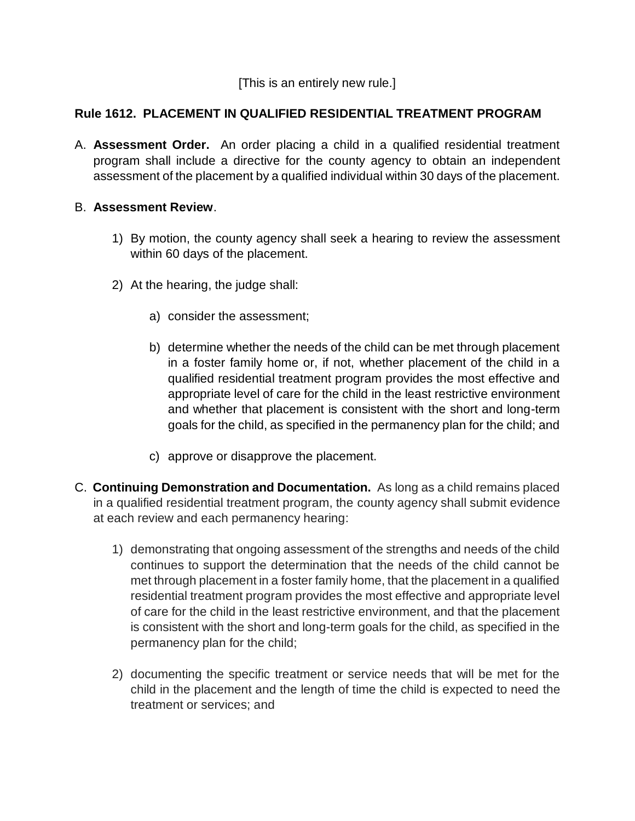[This is an entirely new rule.]

## **Rule 1612. PLACEMENT IN QUALIFIED RESIDENTIAL TREATMENT PROGRAM**

A. **Assessment Order.** An order placing a child in a qualified residential treatment program shall include a directive for the county agency to obtain an independent assessment of the placement by a qualified individual within 30 days of the placement.

## B. **Assessment Review**.

- 1) By motion, the county agency shall seek a hearing to review the assessment within 60 days of the placement.
- 2) At the hearing, the judge shall:
	- a) consider the assessment;
	- b) determine whether the needs of the child can be met through placement in a foster family home or, if not, whether placement of the child in a qualified residential treatment program provides the most effective and appropriate level of care for the child in the least restrictive environment and whether that placement is consistent with the short and long-term goals for the child, as specified in the permanency plan for the child; and
	- c) approve or disapprove the placement.
- C. **Continuing Demonstration and Documentation.** As long as a child remains placed in a qualified residential treatment program, the county agency shall submit evidence at each review and each permanency hearing:
	- 1) demonstrating that ongoing assessment of the strengths and needs of the child continues to support the determination that the needs of the child cannot be met through placement in a foster family home, that the placement in a qualified residential treatment program provides the most effective and appropriate level of care for the child in the least restrictive environment, and that the placement is consistent with the short and long-term goals for the child, as specified in the permanency plan for the child;
	- 2) documenting the specific treatment or service needs that will be met for the child in the placement and the length of time the child is expected to need the treatment or services; and